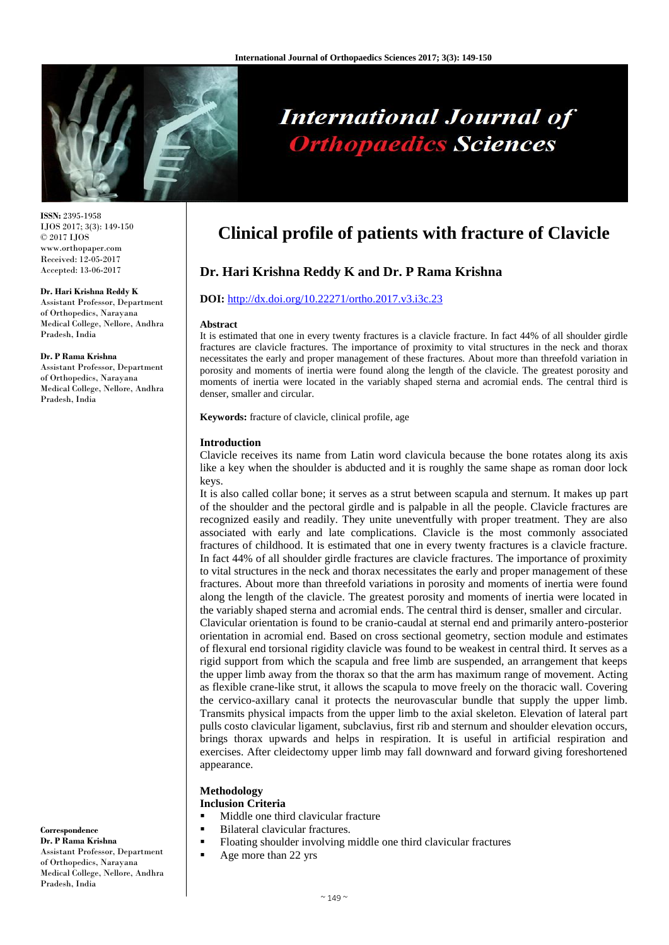

# **International Journal of Orthopaedics Sciences**

**ISSN:** 2395-1958 IJOS 2017; 3(3): 149-150 © 2017 IJOS www.orthopaper.com Received: 12-05-2017 Accepted: 13-06-2017

#### **Dr. Hari Krishna Reddy K**

Assistant Professor, Department of Orthopedics, Narayana Medical College, Nellore, Andhra Pradesh, India

#### **Dr. P Rama Krishna**

Assistant Professor, Department of Orthopedics, Narayana Medical College, Nellore, Andhra Pradesh, India

#### **Dr. P Rama Krishna** Assistant Professor, Department of Orthopedics, Narayana Medical College, Nellore, Andhra Pradesh, India

**Correspondence**

# **Clinical profile of patients with fracture of Clavicle**

# **Dr. Hari Krishna Reddy K and Dr. P Rama Krishna**

#### **DOI:** [http://dx.doi.org/10.22271/ortho.2017.v3.i3c.23](http://dx.doi.org/10.22271/ortho.2017.v3.i3c.21)

#### **Abstract**

It is estimated that one in every twenty fractures is a clavicle fracture. In fact 44% of all shoulder girdle fractures are clavicle fractures. The importance of proximity to vital structures in the neck and thorax necessitates the early and proper management of these fractures. About more than threefold variation in porosity and moments of inertia were found along the length of the clavicle. The greatest porosity and moments of inertia were located in the variably shaped sterna and acromial ends. The central third is denser, smaller and circular.

**Keywords:** fracture of clavicle, clinical profile, age

#### **Introduction**

Clavicle receives its name from Latin word clavicula because the bone rotates along its axis like a key when the shoulder is abducted and it is roughly the same shape as roman door lock keys.

It is also called collar bone; it serves as a strut between scapula and sternum. It makes up part of the shoulder and the pectoral girdle and is palpable in all the people. Clavicle fractures are recognized easily and readily. They unite uneventfully with proper treatment. They are also associated with early and late complications. Clavicle is the most commonly associated fractures of childhood. It is estimated that one in every twenty fractures is a clavicle fracture. In fact 44% of all shoulder girdle fractures are clavicle fractures. The importance of proximity to vital structures in the neck and thorax necessitates the early and proper management of these fractures. About more than threefold variations in porosity and moments of inertia were found along the length of the clavicle. The greatest porosity and moments of inertia were located in the variably shaped sterna and acromial ends. The central third is denser, smaller and circular.

Clavicular orientation is found to be cranio-caudal at sternal end and primarily antero-posterior orientation in acromial end. Based on cross sectional geometry, section module and estimates of flexural end torsional rigidity clavicle was found to be weakest in central third. It serves as a rigid support from which the scapula and free limb are suspended, an arrangement that keeps the upper limb away from the thorax so that the arm has maximum range of movement. Acting as flexible crane-like strut, it allows the scapula to move freely on the thoracic wall. Covering the cervico-axillary canal it protects the neurovascular bundle that supply the upper limb. Transmits physical impacts from the upper limb to the axial skeleton. Elevation of lateral part pulls costo clavicular ligament, subclavius, first rib and sternum and shoulder elevation occurs, brings thorax upwards and helps in respiration. It is useful in artificial respiration and exercises. After cleidectomy upper limb may fall downward and forward giving foreshortened appearance.

# **Methodology**

- **Inclusion Criteria**
- Middle one third clavicular fracture
- Bilateral clavicular fractures.
- Floating shoulder involving middle one third clavicular fractures
- Age more than 22 yrs